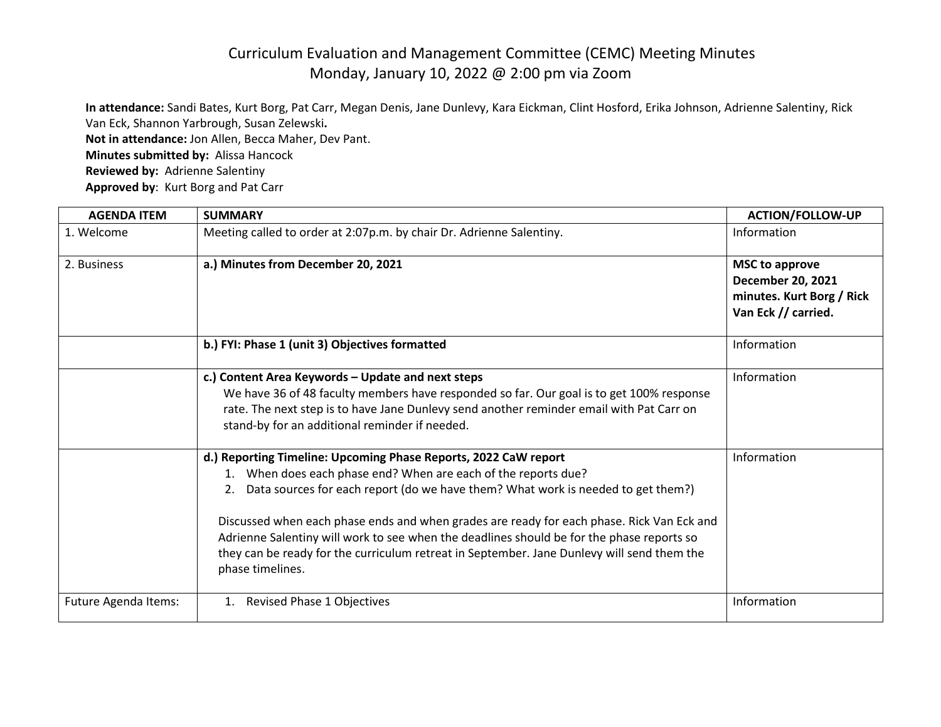## Curriculum Evaluation and Management Committee (CEMC) Meeting Minutes Monday, January 10, 2022 @ 2:00 pm via Zoom

**In attendance:** Sandi Bates, Kurt Borg, Pat Carr, Megan Denis, Jane Dunlevy, Kara Eickman, Clint Hosford, Erika Johnson, Adrienne Salentiny, Rick Van Eck, Shannon Yarbrough, Susan Zelewski**. Not in attendance:** Jon Allen, Becca Maher, Dev Pant. **Minutes submitted by:** Alissa Hancock **Reviewed by:** Adrienne Salentiny **Approved by**: Kurt Borg and Pat Carr

| <b>AGENDA ITEM</b>   | <b>SUMMARY</b>                                                                                                                                                                                                                                                                                                                                                                                                                                                                                                                    | <b>ACTION/FOLLOW-UP</b>                                                                               |
|----------------------|-----------------------------------------------------------------------------------------------------------------------------------------------------------------------------------------------------------------------------------------------------------------------------------------------------------------------------------------------------------------------------------------------------------------------------------------------------------------------------------------------------------------------------------|-------------------------------------------------------------------------------------------------------|
| 1. Welcome           | Meeting called to order at 2:07p.m. by chair Dr. Adrienne Salentiny.                                                                                                                                                                                                                                                                                                                                                                                                                                                              | Information                                                                                           |
| 2. Business          | a.) Minutes from December 20, 2021                                                                                                                                                                                                                                                                                                                                                                                                                                                                                                | <b>MSC to approve</b><br><b>December 20, 2021</b><br>minutes. Kurt Borg / Rick<br>Van Eck // carried. |
|                      | b.) FYI: Phase 1 (unit 3) Objectives formatted                                                                                                                                                                                                                                                                                                                                                                                                                                                                                    | Information                                                                                           |
|                      | c.) Content Area Keywords - Update and next steps<br>We have 36 of 48 faculty members have responded so far. Our goal is to get 100% response<br>rate. The next step is to have Jane Dunlevy send another reminder email with Pat Carr on<br>stand-by for an additional reminder if needed.                                                                                                                                                                                                                                       | Information                                                                                           |
|                      | d.) Reporting Timeline: Upcoming Phase Reports, 2022 CaW report<br>When does each phase end? When are each of the reports due?<br>2. Data sources for each report (do we have them? What work is needed to get them?)<br>Discussed when each phase ends and when grades are ready for each phase. Rick Van Eck and<br>Adrienne Salentiny will work to see when the deadlines should be for the phase reports so<br>they can be ready for the curriculum retreat in September. Jane Dunlevy will send them the<br>phase timelines. | Information                                                                                           |
| Future Agenda Items: | Revised Phase 1 Objectives<br>1.                                                                                                                                                                                                                                                                                                                                                                                                                                                                                                  | Information                                                                                           |